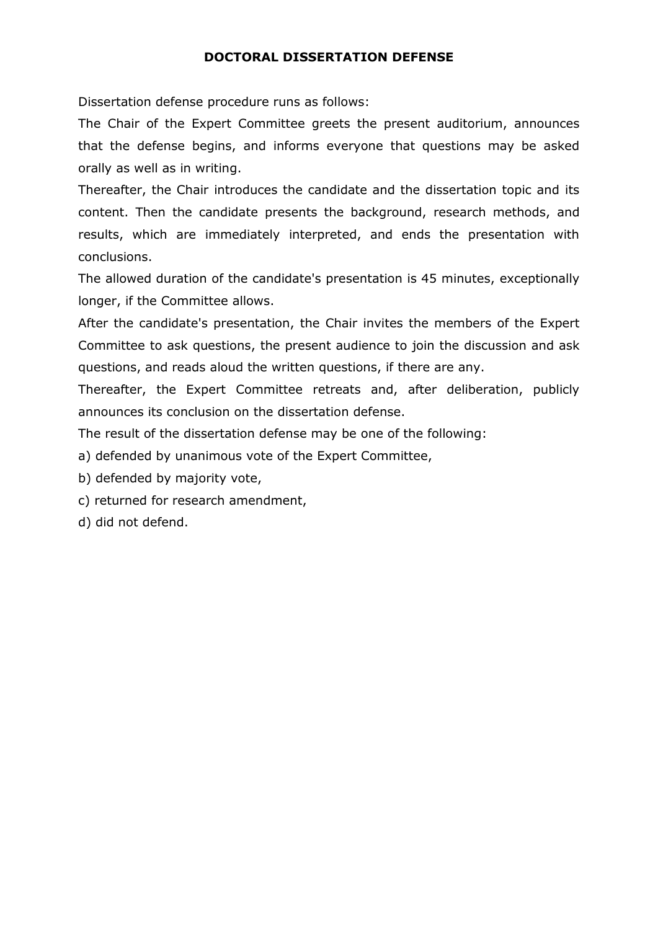## **DOCTORAL DISSERTATION DEFENSE**

Dissertation defense procedure runs as follows:

The Chair of the Expert Committee greets the present auditorium, announces that the defense begins, and informs everyone that questions may be asked orally as well as in writing.

Thereafter, the Chair introduces the candidate and the dissertation topic and its content. Then the candidate presents the background, research methods, and results, which are immediately interpreted, and ends the presentation with conclusions.

The allowed duration of the candidate's presentation is 45 minutes, exceptionally longer, if the Committee allows.

After the candidate's presentation, the Chair invites the members of the Expert Committee to ask questions, the present audience to join the discussion and ask questions, and reads aloud the written questions, if there are any.

Thereafter, the Expert Committee retreats and, after deliberation, publicly announces its conclusion on the dissertation defense.

The result of the dissertation defense may be one of the following:

a) defended by unanimous vote of the Expert Committee,

b) defended by majority vote,

c) returned for research amendment,

d) did not defend.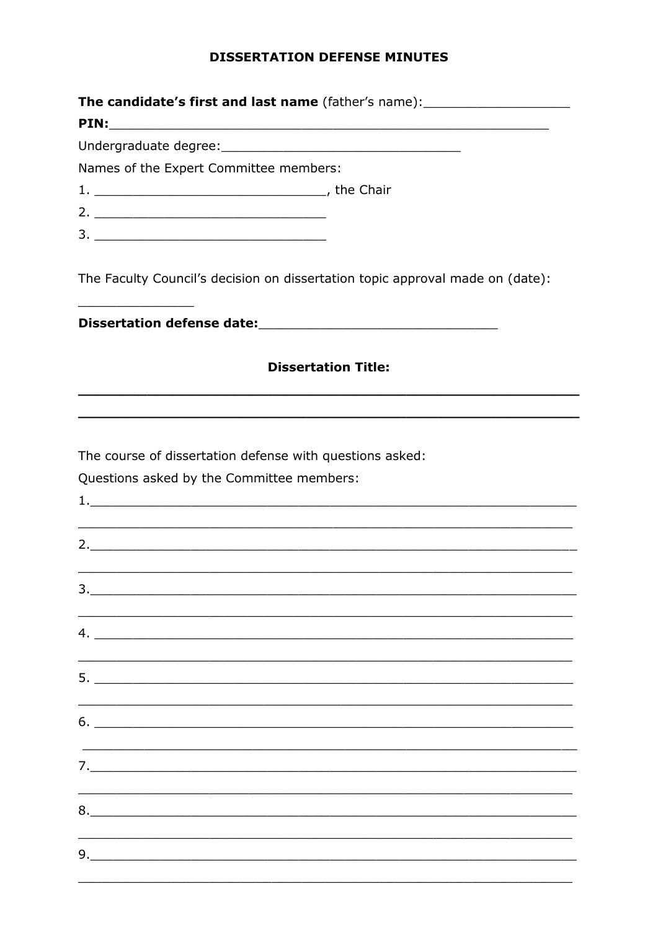## **DISSERTATION DEFENSE MINUTES**

| The candidate's first and last name (father's name): ___________________________                                                                                                                                                                                                                                                                                    |                                                                                  |  |  |  |  |  |  |
|---------------------------------------------------------------------------------------------------------------------------------------------------------------------------------------------------------------------------------------------------------------------------------------------------------------------------------------------------------------------|----------------------------------------------------------------------------------|--|--|--|--|--|--|
|                                                                                                                                                                                                                                                                                                                                                                     |                                                                                  |  |  |  |  |  |  |
| Names of the Expert Committee members:                                                                                                                                                                                                                                                                                                                              |                                                                                  |  |  |  |  |  |  |
|                                                                                                                                                                                                                                                                                                                                                                     |                                                                                  |  |  |  |  |  |  |
|                                                                                                                                                                                                                                                                                                                                                                     |                                                                                  |  |  |  |  |  |  |
|                                                                                                                                                                                                                                                                                                                                                                     |                                                                                  |  |  |  |  |  |  |
|                                                                                                                                                                                                                                                                                                                                                                     | The Faculty Council's decision on dissertation topic approval made on (date):    |  |  |  |  |  |  |
|                                                                                                                                                                                                                                                                                                                                                                     |                                                                                  |  |  |  |  |  |  |
| <b>Dissertation Title:</b>                                                                                                                                                                                                                                                                                                                                          |                                                                                  |  |  |  |  |  |  |
|                                                                                                                                                                                                                                                                                                                                                                     |                                                                                  |  |  |  |  |  |  |
| The course of dissertation defense with questions asked:<br>Questions asked by the Committee members:                                                                                                                                                                                                                                                               | ,我们也不能会在这里,我们的人们就会在这里,我们的人们就会在这里,我们的人们就会在这里,我们的人们就会在这里,我们的人们就会在这里,我们的人们就会在这里,我们的 |  |  |  |  |  |  |
|                                                                                                                                                                                                                                                                                                                                                                     | 2.                                                                               |  |  |  |  |  |  |
| 3.                                                                                                                                                                                                                                                                                                                                                                  |                                                                                  |  |  |  |  |  |  |
|                                                                                                                                                                                                                                                                                                                                                                     |                                                                                  |  |  |  |  |  |  |
| 5.                                                                                                                                                                                                                                                                                                                                                                  |                                                                                  |  |  |  |  |  |  |
| 6.                                                                                                                                                                                                                                                                                                                                                                  |                                                                                  |  |  |  |  |  |  |
|                                                                                                                                                                                                                                                                                                                                                                     |                                                                                  |  |  |  |  |  |  |
| 8.                                                                                                                                                                                                                                                                                                                                                                  |                                                                                  |  |  |  |  |  |  |
| $\begin{picture}(20,10) \put(0,0){\vector(1,0){100}} \put(15,0){\vector(1,0){100}} \put(15,0){\vector(1,0){100}} \put(15,0){\vector(1,0){100}} \put(15,0){\vector(1,0){100}} \put(15,0){\vector(1,0){100}} \put(15,0){\vector(1,0){100}} \put(15,0){\vector(1,0){100}} \put(15,0){\vector(1,0){100}} \put(15,0){\vector(1,0){100}} \put(15,0){\vector(1,0){100}} \$ |                                                                                  |  |  |  |  |  |  |